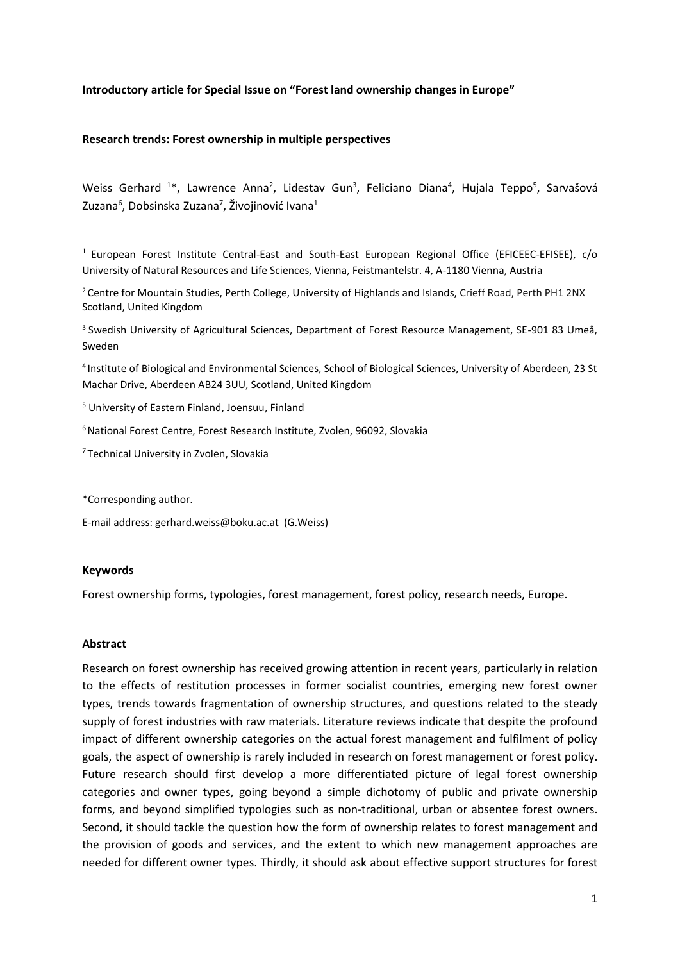# **Introductory article for Special Issue on "Forest land ownership changes in Europe"**

### **Research trends: Forest ownership in multiple perspectives**

Weiss Gerhard<sup>1\*</sup>, Lawrence Anna<sup>2</sup>, Lidestav Gun<sup>3</sup>, Feliciano Diana<sup>4</sup>, Hujala Teppo<sup>5</sup>, Sarvašová Zuzana<sup>6</sup>, Dobsinska Zuzana<sup>7</sup>, Živojinović Ivana<sup>1</sup>

<sup>1</sup> European Forest Institute Central-East and South-East European Regional Office (EFICEEC-EFISEE), c/o University of Natural Resources and Life Sciences, Vienna, Feistmantelstr. 4, A-1180 Vienna, Austria

<sup>2</sup> Centre for Mountain Studies, Perth College, University of Highlands and Islands, Crieff Road, Perth PH1 2NX Scotland, United Kingdom

<sup>3</sup> Swedish University of Agricultural Sciences, Department of Forest Resource Management, SE-901 83 Umeå, Sweden

<sup>4</sup>Institute of Biological and Environmental Sciences, School of Biological Sciences, University of Aberdeen, 23 St Machar Drive, Aberdeen AB24 3UU, Scotland, United Kingdom

<sup>5</sup> University of Eastern Finland, Joensuu, Finland

<sup>6</sup> National Forest Centre, Forest Research Institute, Zvolen, 96092, Slovakia

<sup>7</sup> Technical University in Zvolen, Slovakia

\*Corresponding author.

E-mail address: gerhard.weiss@boku.ac.at (G.Weiss)

#### **Keywords**

Forest ownership forms, typologies, forest management, forest policy, research needs, Europe.

#### **Abstract**

Research on forest ownership has received growing attention in recent years, particularly in relation to the effects of restitution processes in former socialist countries, emerging new forest owner types, trends towards fragmentation of ownership structures, and questions related to the steady supply of forest industries with raw materials. Literature reviews indicate that despite the profound impact of different ownership categories on the actual forest management and fulfilment of policy goals, the aspect of ownership is rarely included in research on forest management or forest policy. Future research should first develop a more differentiated picture of legal forest ownership categories and owner types, going beyond a simple dichotomy of public and private ownership forms, and beyond simplified typologies such as non-traditional, urban or absentee forest owners. Second, it should tackle the question how the form of ownership relates to forest management and the provision of goods and services, and the extent to which new management approaches are needed for different owner types. Thirdly, it should ask about effective support structures for forest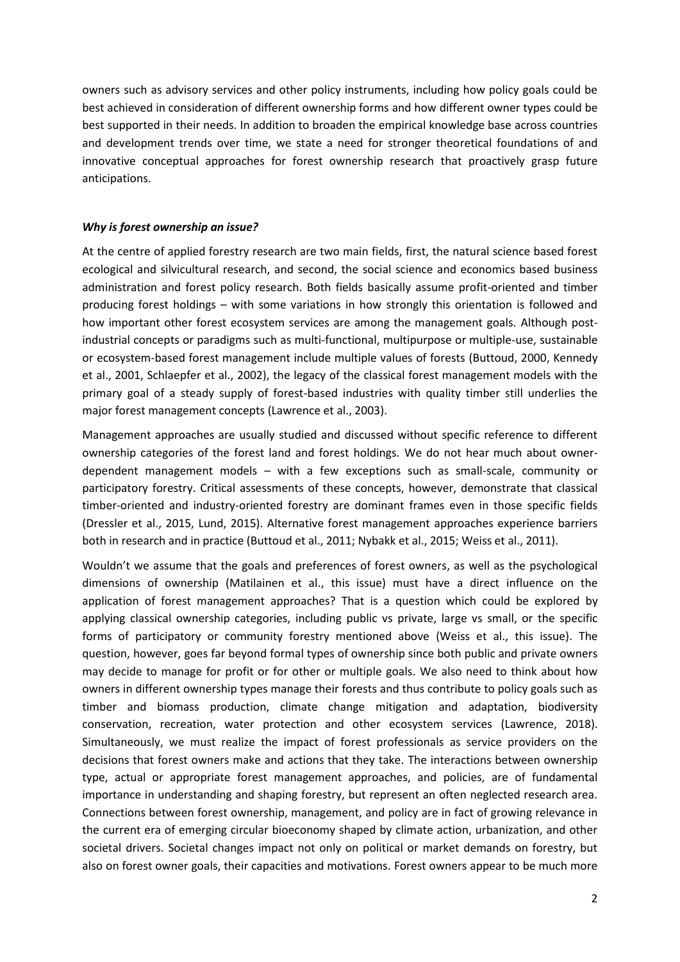owners such as advisory services and other policy instruments, including how policy goals could be best achieved in consideration of different ownership forms and how different owner types could be best supported in their needs. In addition to broaden the empirical knowledge base across countries and development trends over time, we state a need for stronger theoretical foundations of and innovative conceptual approaches for forest ownership research that proactively grasp future anticipations.

## *Why is forest ownership an issue?*

At the centre of applied forestry research are two main fields, first, the natural science based forest ecological and silvicultural research, and second, the social science and economics based business administration and forest policy research. Both fields basically assume profit-oriented and timber producing forest holdings – with some variations in how strongly this orientation is followed and how important other forest ecosystem services are among the management goals. Although postindustrial concepts or paradigms such as multi-functional, multipurpose or multiple-use, sustainable or ecosystem-based forest management include multiple values of forests (Buttoud, 2000, Kennedy et al., 2001, Schlaepfer et al., 2002), the legacy of the classical forest management models with the primary goal of a steady supply of forest-based industries with quality timber still underlies the major forest management concepts (Lawrence et al., 2003).

Management approaches are usually studied and discussed without specific reference to different ownership categories of the forest land and forest holdings. We do not hear much about ownerdependent management models – with a few exceptions such as small-scale, community or participatory forestry. Critical assessments of these concepts, however, demonstrate that classical timber-oriented and industry-oriented forestry are dominant frames even in those specific fields (Dressler et al., 2015, Lund, 2015). Alternative forest management approaches experience barriers both in research and in practice (Buttoud et al., 2011; Nybakk et al., 2015; Weiss et al., 2011).

Wouldn't we assume that the goals and preferences of forest owners, as well as the psychological dimensions of ownership (Matilainen et al., this issue) must have a direct influence on the application of forest management approaches? That is a question which could be explored by applying classical ownership categories, including public vs private, large vs small, or the specific forms of participatory or community forestry mentioned above (Weiss et al., this issue). The question, however, goes far beyond formal types of ownership since both public and private owners may decide to manage for profit or for other or multiple goals. We also need to think about how owners in different ownership types manage their forests and thus contribute to policy goals such as timber and biomass production, climate change mitigation and adaptation, biodiversity conservation, recreation, water protection and other ecosystem services (Lawrence, 2018). Simultaneously, we must realize the impact of forest professionals as service providers on the decisions that forest owners make and actions that they take. The interactions between ownership type, actual or appropriate forest management approaches, and policies, are of fundamental importance in understanding and shaping forestry, but represent an often neglected research area. Connections between forest ownership, management, and policy are in fact of growing relevance in the current era of emerging circular bioeconomy shaped by climate action, urbanization, and other societal drivers. Societal changes impact not only on political or market demands on forestry, but also on forest owner goals, their capacities and motivations. Forest owners appear to be much more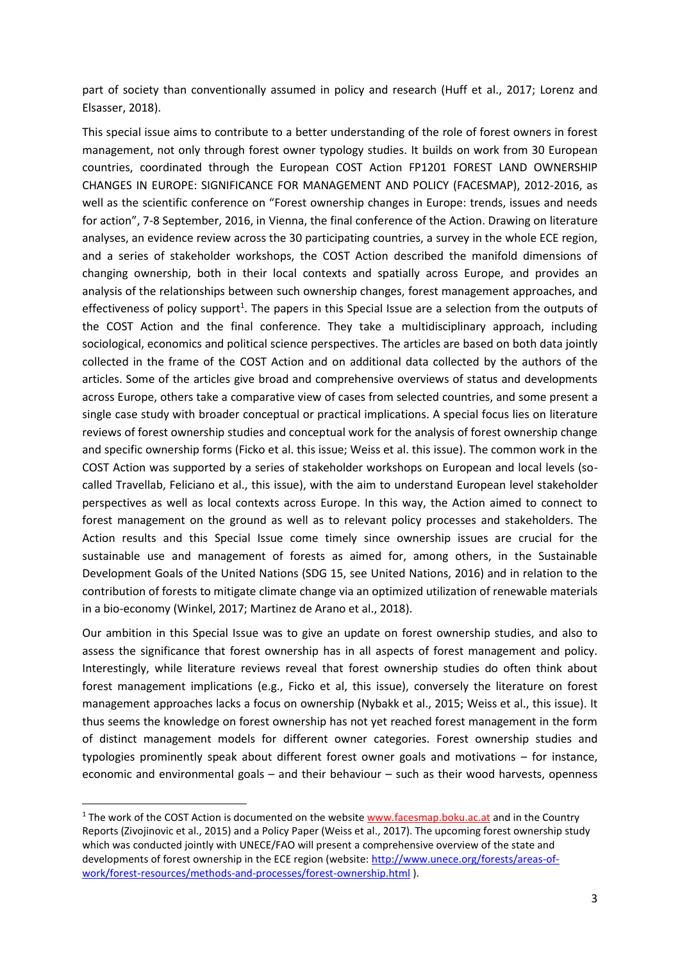part of society than conventionally assumed in policy and research (Huff et al., 2017; Lorenz and Elsasser, 2018).

This special issue aims to contribute to a better understanding of the role of forest owners in forest management, not only through forest owner typology studies. It builds on work from 30 European countries, coordinated through the European COST Action FP1201 FOREST LAND OWNERSHIP CHANGES IN EUROPE: SIGNIFICANCE FOR MANAGEMENT AND POLICY (FACESMAP), 2012-2016, as well as the scientific conference on "Forest ownership changes in Europe: trends, issues and needs for action", 7-8 September, 2016, in Vienna, the final conference of the Action. Drawing on literature analyses, an evidence review across the 30 participating countries, a survey in the whole ECE region, and a series of stakeholder workshops, the COST Action described the manifold dimensions of changing ownership, both in their local contexts and spatially across Europe, and provides an analysis of the relationships between such ownership changes, forest management approaches, and effectiveness of policy support<sup>1</sup>. The papers in this Special Issue are a selection from the outputs of the COST Action and the final conference. They take a multidisciplinary approach, including sociological, economics and political science perspectives. The articles are based on both data jointly collected in the frame of the COST Action and on additional data collected by the authors of the articles. Some of the articles give broad and comprehensive overviews of status and developments across Europe, others take a comparative view of cases from selected countries, and some present a single case study with broader conceptual or practical implications. A special focus lies on literature reviews of forest ownership studies and conceptual work for the analysis of forest ownership change and specific ownership forms (Ficko et al. this issue; Weiss et al. this issue). The common work in the COST Action was supported by a series of stakeholder workshops on European and local levels (socalled Travellab, Feliciano et al., this issue), with the aim to understand European level stakeholder perspectives as well as local contexts across Europe. In this way, the Action aimed to connect to forest management on the ground as well as to relevant policy processes and stakeholders. The Action results and this Special Issue come timely since ownership issues are crucial for the sustainable use and management of forests as aimed for, among others, in the Sustainable Development Goals of the United Nations (SDG 15, see United Nations, 2016) and in relation to the contribution of forests to mitigate climate change via an optimized utilization of renewable materials in a bio-economy (Winkel, 2017; Martinez de Arano et al., 2018).

Our ambition in this Special Issue was to give an update on forest ownership studies, and also to assess the significance that forest ownership has in all aspects of forest management and policy. Interestingly, while literature reviews reveal that forest ownership studies do often think about forest management implications (e.g., Ficko et al, this issue), conversely the literature on forest management approaches lacks a focus on ownership (Nybakk et al., 2015; Weiss et al., this issue). It thus seems the knowledge on forest ownership has not yet reached forest management in the form of distinct management models for different owner categories. Forest ownership studies and typologies prominently speak about different forest owner goals and motivations – for instance, economic and environmental goals – and their behaviour – such as their wood harvests, openness

**.** 

 $1$  The work of the COST Action is documented on the websit[e www.facesmap.boku.ac.at](http://www.facesmap.boku.ac.at/) and in the Country Reports (Zivojinovic et al., 2015) and a Policy Paper (Weiss et al., 2017). The upcoming forest ownership study which was conducted jointly with UNECE/FAO will present a comprehensive overview of the state and developments of forest ownership in the ECE region (website[: http://www.unece.org/forests/areas-of](http://www.unece.org/forests/areas-of-work/forest-resources/methods-and-processes/forest-ownership.html)[work/forest-resources/methods-and-processes/forest-ownership.html](http://www.unece.org/forests/areas-of-work/forest-resources/methods-and-processes/forest-ownership.html) ).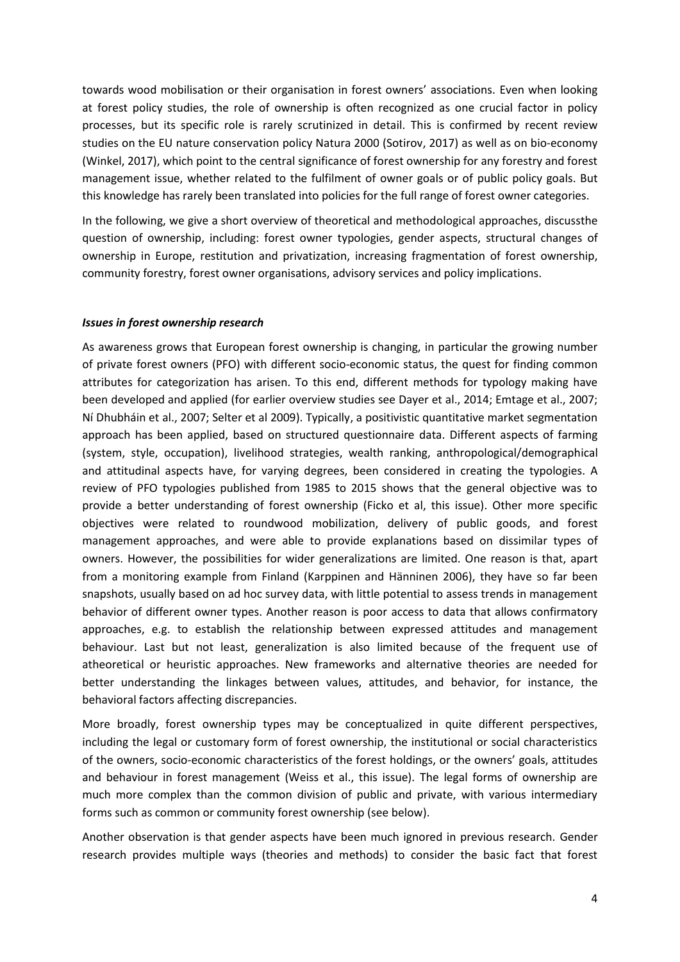towards wood mobilisation or their organisation in forest owners' associations. Even when looking at forest policy studies, the role of ownership is often recognized as one crucial factor in policy processes, but its specific role is rarely scrutinized in detail. This is confirmed by recent review studies on the EU nature conservation policy Natura 2000 (Sotirov, 2017) as well as on bio-economy (Winkel, 2017), which point to the central significance of forest ownership for any forestry and forest management issue, whether related to the fulfilment of owner goals or of public policy goals. But this knowledge has rarely been translated into policies for the full range of forest owner categories.

In the following, we give a short overview of theoretical and methodological approaches, discussthe question of ownership, including: forest owner typologies, gender aspects, structural changes of ownership in Europe, restitution and privatization, increasing fragmentation of forest ownership, community forestry, forest owner organisations, advisory services and policy implications.

## *Issues in forest ownership research*

As awareness grows that European forest ownership is changing, in particular the growing number of private forest owners (PFO) with different socio-economic status, the quest for finding common attributes for categorization has arisen. To this end, different methods for typology making have been developed and applied (for earlier overview studies see Dayer et al., 2014; Emtage et al., 2007; Ní Dhubháin et al., 2007; Selter et al 2009). Typically, a positivistic quantitative market segmentation approach has been applied, based on structured questionnaire data. Different aspects of farming (system, style, occupation), livelihood strategies, wealth ranking, anthropological/demographical and attitudinal aspects have, for varying degrees, been considered in creating the typologies. A review of PFO typologies published from 1985 to 2015 shows that the general objective was to provide a better understanding of forest ownership (Ficko et al, this issue). Other more specific objectives were related to roundwood mobilization, delivery of public goods, and forest management approaches, and were able to provide explanations based on dissimilar types of owners. However, the possibilities for wider generalizations are limited. One reason is that, apart from a monitoring example from Finland (Karppinen and Hänninen 2006), they have so far been snapshots, usually based on ad hoc survey data, with little potential to assess trends in management behavior of different owner types. Another reason is poor access to data that allows confirmatory approaches, e.g. to establish the relationship between expressed attitudes and management behaviour. Last but not least, generalization is also limited because of the frequent use of atheoretical or heuristic approaches. New frameworks and alternative theories are needed for better understanding the linkages between values, attitudes, and behavior, for instance, the behavioral factors affecting discrepancies.

More broadly, forest ownership types may be conceptualized in quite different perspectives, including the legal or customary form of forest ownership, the institutional or social characteristics of the owners, socio-economic characteristics of the forest holdings, or the owners' goals, attitudes and behaviour in forest management (Weiss et al., this issue). The legal forms of ownership are much more complex than the common division of public and private, with various intermediary forms such as common or community forest ownership (see below).

Another observation is that gender aspects have been much ignored in previous research. Gender research provides multiple ways (theories and methods) to consider the basic fact that forest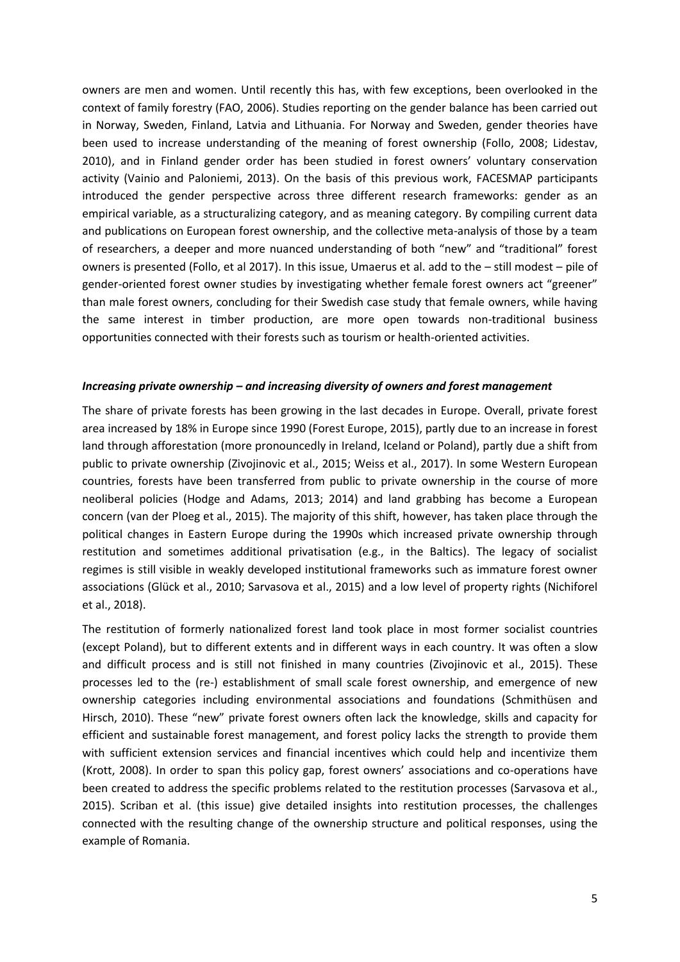owners are men and women. Until recently this has, with few exceptions, been overlooked in the context of family forestry (FAO, 2006). Studies reporting on the gender balance has been carried out in Norway, Sweden, Finland, Latvia and Lithuania. For Norway and Sweden, gender theories have been used to increase understanding of the meaning of forest ownership (Follo, 2008; Lidestav, 2010), and in Finland gender order has been studied in forest owners' voluntary conservation activity (Vainio and Paloniemi, 2013). On the basis of this previous work, FACESMAP participants introduced the gender perspective across three different research frameworks: gender as an empirical variable, as a structuralizing category, and as meaning category. By compiling current data and publications on European forest ownership, and the collective meta-analysis of those by a team of researchers, a deeper and more nuanced understanding of both "new" and "traditional" forest owners is presented (Follo, et al 2017). In this issue, Umaerus et al. add to the – still modest – pile of gender-oriented forest owner studies by investigating whether female forest owners act "greener" than male forest owners, concluding for their Swedish case study that female owners, while having the same interest in timber production, are more open towards non-traditional business opportunities connected with their forests such as tourism or health-oriented activities.

#### *Increasing private ownership – and increasing diversity of owners and forest management*

The share of private forests has been growing in the last decades in Europe. Overall, private forest area increased by 18% in Europe since 1990 (Forest Europe, 2015), partly due to an increase in forest land through afforestation (more pronouncedly in Ireland, Iceland or Poland), partly due a shift from public to private ownership (Zivojinovic et al., 2015; Weiss et al., 2017). In some Western European countries, forests have been transferred from public to private ownership in the course of more neoliberal policies (Hodge and Adams, 2013; 2014) and land grabbing has become a European concern (van der Ploeg et al., 2015). The majority of this shift, however, has taken place through the political changes in Eastern Europe during the 1990s which increased private ownership through restitution and sometimes additional privatisation (e.g., in the Baltics). The legacy of socialist regimes is still visible in weakly developed institutional frameworks such as immature forest owner associations (Glück et al., 2010; Sarvasova et al., 2015) and a low level of property rights (Nichiforel et al., 2018).

The restitution of formerly nationalized forest land took place in most former socialist countries (except Poland), but to different extents and in different ways in each country. It was often a slow and difficult process and is still not finished in many countries (Zivojinovic et al., 2015). These processes led to the (re-) establishment of small scale forest ownership, and emergence of new ownership categories including environmental associations and foundations (Schmithüsen and Hirsch, 2010). These "new" private forest owners often lack the knowledge, skills and capacity for efficient and sustainable forest management, and forest policy lacks the strength to provide them with sufficient extension services and financial incentives which could help and incentivize them (Krott, 2008). In order to span this policy gap, forest owners' associations and co-operations have been created to address the specific problems related to the restitution processes (Sarvasova et al., 2015). Scriban et al. (this issue) give detailed insights into restitution processes, the challenges connected with the resulting change of the ownership structure and political responses, using the example of Romania.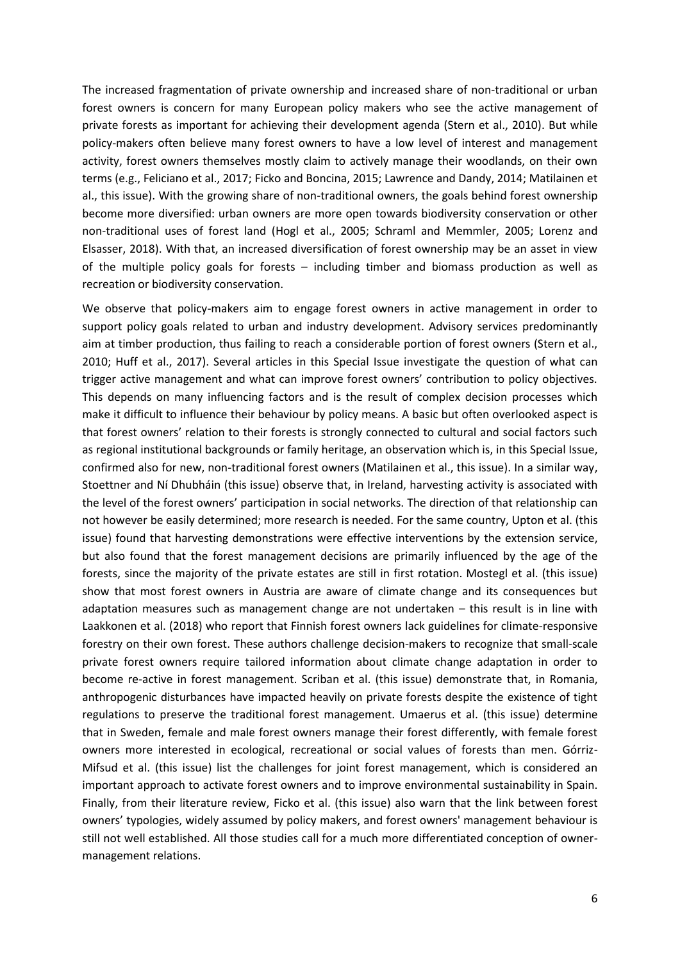The increased fragmentation of private ownership and increased share of non-traditional or urban forest owners is concern for many European policy makers who see the active management of private forests as important for achieving their development agenda (Stern et al., 2010). But while policy-makers often believe many forest owners to have a low level of interest and management activity, forest owners themselves mostly claim to actively manage their woodlands, on their own terms (e.g., Feliciano et al., 2017; Ficko and Boncina, 2015; Lawrence and Dandy, 2014; Matilainen et al., this issue). With the growing share of non-traditional owners, the goals behind forest ownership become more diversified: urban owners are more open towards biodiversity conservation or other non-traditional uses of forest land (Hogl et al., 2005; Schraml and Memmler, 2005; Lorenz and Elsasser, 2018). With that, an increased diversification of forest ownership may be an asset in view of the multiple policy goals for forests – including timber and biomass production as well as recreation or biodiversity conservation.

We observe that policy-makers aim to engage forest owners in active management in order to support policy goals related to urban and industry development. Advisory services predominantly aim at timber production, thus failing to reach a considerable portion of forest owners (Stern et al., 2010; Huff et al., 2017). Several articles in this Special Issue investigate the question of what can trigger active management and what can improve forest owners' contribution to policy objectives. This depends on many influencing factors and is the result of complex decision processes which make it difficult to influence their behaviour by policy means. A basic but often overlooked aspect is that forest owners' relation to their forests is strongly connected to cultural and social factors such as regional institutional backgrounds or family heritage, an observation which is, in this Special Issue, confirmed also for new, non-traditional forest owners (Matilainen et al., this issue). In a similar way, Stoettner and Ní Dhubháin (this issue) observe that, in Ireland, harvesting activity is associated with the level of the forest owners' participation in social networks. The direction of that relationship can not however be easily determined; more research is needed. For the same country, Upton et al. (this issue) found that harvesting demonstrations were effective interventions by the extension service, but also found that the forest management decisions are primarily influenced by the age of the forests, since the majority of the private estates are still in first rotation. Mostegl et al. (this issue) show that most forest owners in Austria are aware of climate change and its consequences but adaptation measures such as management change are not undertaken – this result is in line with Laakkonen et al. (2018) who report that Finnish forest owners lack guidelines for climate-responsive forestry on their own forest. These authors challenge decision-makers to recognize that small-scale private forest owners require tailored information about climate change adaptation in order to become re-active in forest management. Scriban et al. (this issue) demonstrate that, in Romania, anthropogenic disturbances have impacted heavily on private forests despite the existence of tight regulations to preserve the traditional forest management. Umaerus et al. (this issue) determine that in Sweden, female and male forest owners manage their forest differently, with female forest owners more interested in ecological, recreational or social values of forests than men. Górriz-Mifsud et al. (this issue) list the challenges for joint forest management, which is considered an important approach to activate forest owners and to improve environmental sustainability in Spain. Finally, from their literature review, Ficko et al. (this issue) also warn that the link between forest owners' typologies, widely assumed by policy makers, and forest owners' management behaviour is still not well established. All those studies call for a much more differentiated conception of ownermanagement relations.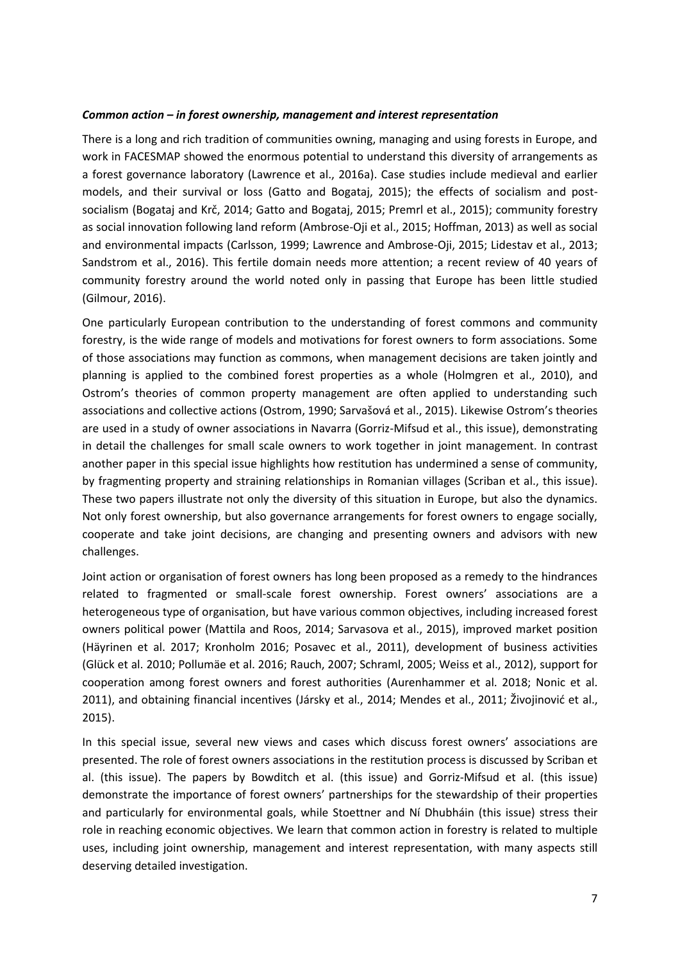## *Common action – in forest ownership, management and interest representation*

There is a long and rich tradition of communities owning, managing and using forests in Europe, and work in FACESMAP showed the enormous potential to understand this diversity of arrangements as a forest governance laboratory (Lawrence et al., 2016a). Case studies include medieval and earlier models, and their survival or loss (Gatto and Bogataj, 2015); the effects of socialism and postsocialism (Bogataj and Krč, 2014; Gatto and Bogataj, 2015; Premrl et al., 2015); community forestry as social innovation following land reform (Ambrose-Oji et al., 2015; Hoffman, 2013) as well as social and environmental impacts (Carlsson, 1999; Lawrence and Ambrose-Oji, 2015; Lidestav et al., 2013; Sandstrom et al., 2016). This fertile domain needs more attention; a recent review of 40 years of community forestry around the world noted only in passing that Europe has been little studied (Gilmour, 2016).

One particularly European contribution to the understanding of forest commons and community forestry, is the wide range of models and motivations for forest owners to form associations. Some of those associations may function as commons, when management decisions are taken jointly and planning is applied to the combined forest properties as a whole (Holmgren et al., 2010), and Ostrom's theories of common property management are often applied to understanding such associations and collective actions (Ostrom, 1990; Sarvašová et al., 2015). Likewise Ostrom's theories are used in a study of owner associations in Navarra (Gorriz-Mifsud et al., this issue), demonstrating in detail the challenges for small scale owners to work together in joint management. In contrast another paper in this special issue highlights how restitution has undermined a sense of community, by fragmenting property and straining relationships in Romanian villages (Scriban et al., this issue). These two papers illustrate not only the diversity of this situation in Europe, but also the dynamics. Not only forest ownership, but also governance arrangements for forest owners to engage socially, cooperate and take joint decisions, are changing and presenting owners and advisors with new challenges.

Joint action or organisation of forest owners has long been proposed as a remedy to the hindrances related to fragmented or small-scale forest ownership. Forest owners' associations are a heterogeneous type of organisation, but have various common objectives, including increased forest owners political power (Mattila and Roos, 2014; Sarvasova et al., 2015), improved market position (Häyrinen et al. 2017; Kronholm 2016; Posavec et al., 2011), development of business activities (Glück et al. 2010; Pollumäe et al. 2016; Rauch, 2007; Schraml, 2005; Weiss et al., 2012), support for cooperation among forest owners and forest authorities (Aurenhammer et al. 2018; Nonic et al. 2011), and obtaining financial incentives (Jársky et al., 2014; Mendes et al., 2011; Živojinović et al., 2015).

In this special issue, several new views and cases which discuss forest owners' associations are presented. The role of forest owners associations in the restitution process is discussed by Scriban et al. (this issue). The papers by Bowditch et al. (this issue) and Gorriz-Mifsud et al. (this issue) demonstrate the importance of forest owners' partnerships for the stewardship of their properties and particularly for environmental goals, while Stoettner and Ní Dhubháin (this issue) stress their role in reaching economic objectives. We learn that common action in forestry is related to multiple uses, including joint ownership, management and interest representation, with many aspects still deserving detailed investigation.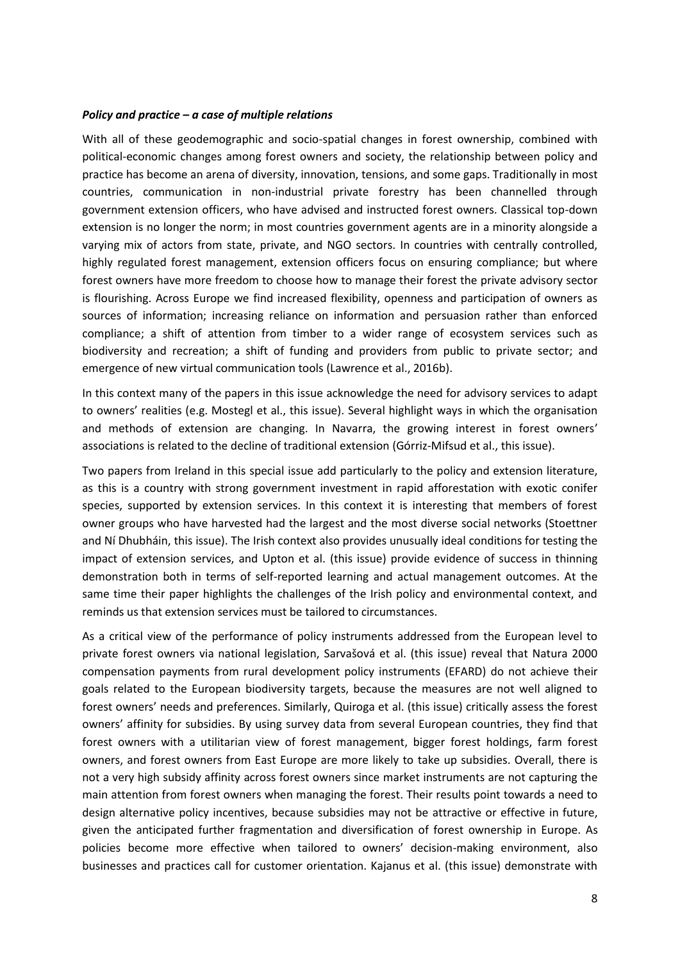### *Policy and practice – a case of multiple relations*

With all of these geodemographic and socio-spatial changes in forest ownership, combined with political-economic changes among forest owners and society, the relationship between policy and practice has become an arena of diversity, innovation, tensions, and some gaps. Traditionally in most countries, communication in non-industrial private forestry has been channelled through government extension officers, who have advised and instructed forest owners. Classical top-down extension is no longer the norm; in most countries government agents are in a minority alongside a varying mix of actors from state, private, and NGO sectors. In countries with centrally controlled, highly regulated forest management, extension officers focus on ensuring compliance; but where forest owners have more freedom to choose how to manage their forest the private advisory sector is flourishing. Across Europe we find increased flexibility, openness and participation of owners as sources of information; increasing reliance on information and persuasion rather than enforced compliance; a shift of attention from timber to a wider range of ecosystem services such as biodiversity and recreation; a shift of funding and providers from public to private sector; and emergence of new virtual communication tools (Lawrence et al., 2016b).

In this context many of the papers in this issue acknowledge the need for advisory services to adapt to owners' realities (e.g. Mostegl et al., this issue). Several highlight ways in which the organisation and methods of extension are changing. In Navarra, the growing interest in forest owners' associations is related to the decline of traditional extension (Górriz-Mifsud et al., this issue).

Two papers from Ireland in this special issue add particularly to the policy and extension literature, as this is a country with strong government investment in rapid afforestation with exotic conifer species, supported by extension services. In this context it is interesting that members of forest owner groups who have harvested had the largest and the most diverse social networks (Stoettner and Ní Dhubháin, this issue). The Irish context also provides unusually ideal conditions for testing the impact of extension services, and Upton et al. (this issue) provide evidence of success in thinning demonstration both in terms of self-reported learning and actual management outcomes. At the same time their paper highlights the challenges of the Irish policy and environmental context, and reminds us that extension services must be tailored to circumstances.

As a critical view of the performance of policy instruments addressed from the European level to private forest owners via national legislation, Sarvašová et al. (this issue) reveal that Natura 2000 compensation payments from rural development policy instruments (EFARD) do not achieve their goals related to the European biodiversity targets, because the measures are not well aligned to forest owners' needs and preferences. Similarly, Quiroga et al. (this issue) critically assess the forest owners' affinity for subsidies. By using survey data from several European countries, they find that forest owners with a utilitarian view of forest management, bigger forest holdings, farm forest owners, and forest owners from East Europe are more likely to take up subsidies. Overall, there is not a very high subsidy affinity across forest owners since market instruments are not capturing the main attention from forest owners when managing the forest. Their results point towards a need to design alternative policy incentives, because subsidies may not be attractive or effective in future, given the anticipated further fragmentation and diversification of forest ownership in Europe. As policies become more effective when tailored to owners' decision-making environment, also businesses and practices call for customer orientation. Kajanus et al. (this issue) demonstrate with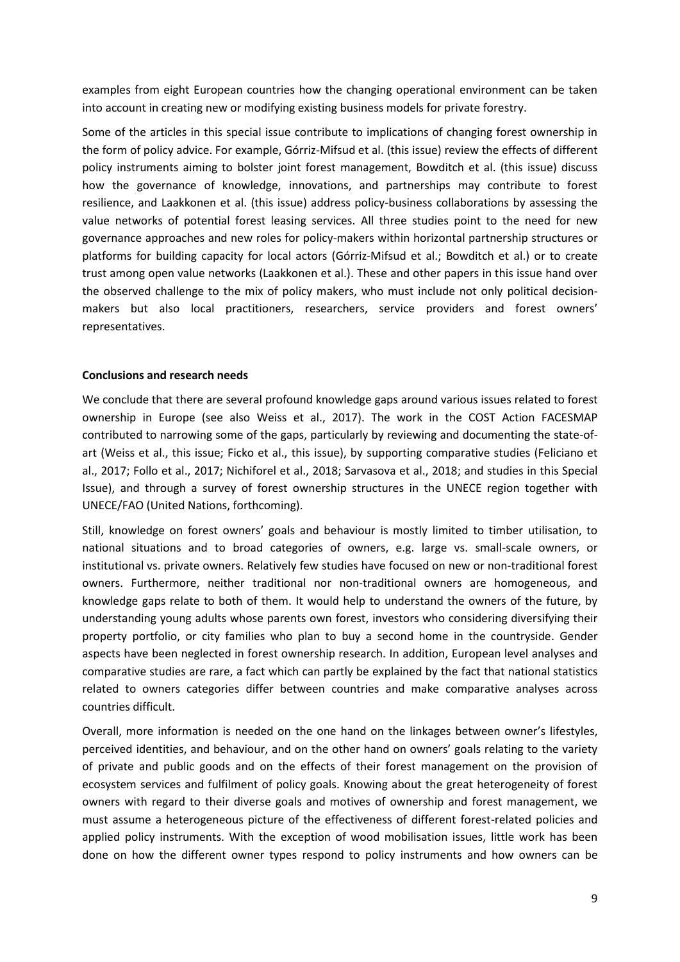examples from eight European countries how the changing operational environment can be taken into account in creating new or modifying existing business models for private forestry.

Some of the articles in this special issue contribute to implications of changing forest ownership in the form of policy advice. For example, Górriz-Mifsud et al. (this issue) review the effects of different policy instruments aiming to bolster joint forest management, Bowditch et al. (this issue) discuss how the governance of knowledge, innovations, and partnerships may contribute to forest resilience, and Laakkonen et al. (this issue) address policy-business collaborations by assessing the value networks of potential forest leasing services. All three studies point to the need for new governance approaches and new roles for policy-makers within horizontal partnership structures or platforms for building capacity for local actors (Górriz-Mifsud et al.; Bowditch et al.) or to create trust among open value networks (Laakkonen et al.). These and other papers in this issue hand over the observed challenge to the mix of policy makers, who must include not only political decisionmakers but also local practitioners, researchers, service providers and forest owners' representatives.

## **Conclusions and research needs**

We conclude that there are several profound knowledge gaps around various issues related to forest ownership in Europe (see also Weiss et al., 2017). The work in the COST Action FACESMAP contributed to narrowing some of the gaps, particularly by reviewing and documenting the state-ofart (Weiss et al., this issue; Ficko et al., this issue), by supporting comparative studies (Feliciano et al., 2017; Follo et al., 2017; Nichiforel et al., 2018; Sarvasova et al., 2018; and studies in this Special Issue), and through a survey of forest ownership structures in the UNECE region together with UNECE/FAO (United Nations, forthcoming).

Still, knowledge on forest owners' goals and behaviour is mostly limited to timber utilisation, to national situations and to broad categories of owners, e.g. large vs. small-scale owners, or institutional vs. private owners. Relatively few studies have focused on new or non-traditional forest owners. Furthermore, neither traditional nor non-traditional owners are homogeneous, and knowledge gaps relate to both of them. It would help to understand the owners of the future, by understanding young adults whose parents own forest, investors who considering diversifying their property portfolio, or city families who plan to buy a second home in the countryside. Gender aspects have been neglected in forest ownership research. In addition, European level analyses and comparative studies are rare, a fact which can partly be explained by the fact that national statistics related to owners categories differ between countries and make comparative analyses across countries difficult.

Overall, more information is needed on the one hand on the linkages between owner's lifestyles, perceived identities, and behaviour, and on the other hand on owners' goals relating to the variety of private and public goods and on the effects of their forest management on the provision of ecosystem services and fulfilment of policy goals. Knowing about the great heterogeneity of forest owners with regard to their diverse goals and motives of ownership and forest management, we must assume a heterogeneous picture of the effectiveness of different forest-related policies and applied policy instruments. With the exception of wood mobilisation issues, little work has been done on how the different owner types respond to policy instruments and how owners can be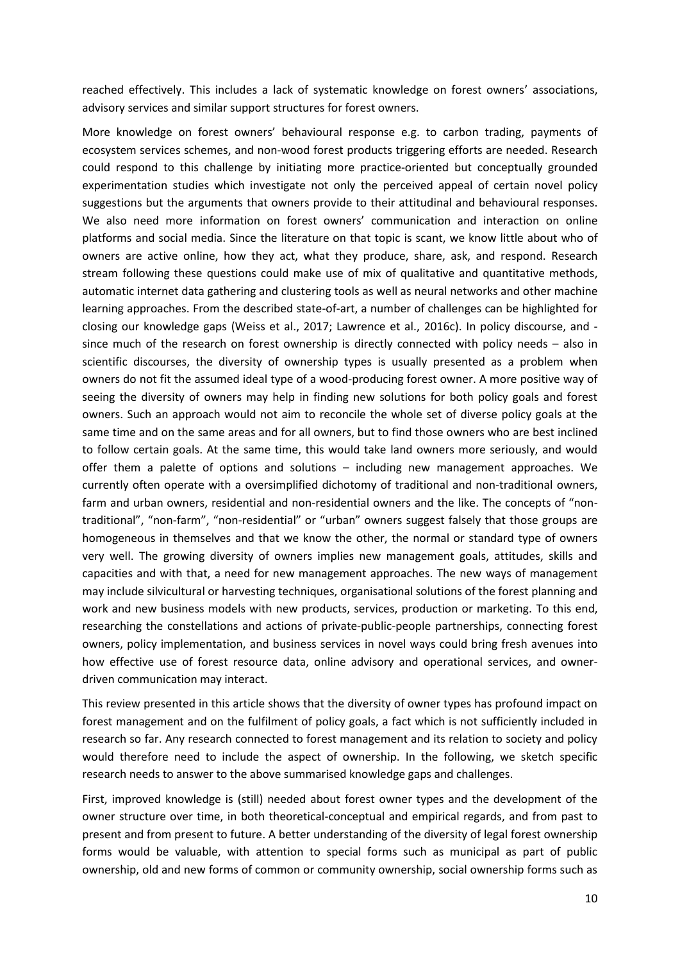reached effectively. This includes a lack of systematic knowledge on forest owners' associations, advisory services and similar support structures for forest owners.

More knowledge on forest owners' behavioural response e.g. to carbon trading, payments of ecosystem services schemes, and non-wood forest products triggering efforts are needed. Research could respond to this challenge by initiating more practice-oriented but conceptually grounded experimentation studies which investigate not only the perceived appeal of certain novel policy suggestions but the arguments that owners provide to their attitudinal and behavioural responses. We also need more information on forest owners' communication and interaction on online platforms and social media. Since the literature on that topic is scant, we know little about who of owners are active online, how they act, what they produce, share, ask, and respond. Research stream following these questions could make use of mix of qualitative and quantitative methods, automatic internet data gathering and clustering tools as well as neural networks and other machine learning approaches. From the described state-of-art, a number of challenges can be highlighted for closing our knowledge gaps (Weiss et al., 2017; Lawrence et al., 2016c). In policy discourse, and since much of the research on forest ownership is directly connected with policy needs – also in scientific discourses, the diversity of ownership types is usually presented as a problem when owners do not fit the assumed ideal type of a wood-producing forest owner. A more positive way of seeing the diversity of owners may help in finding new solutions for both policy goals and forest owners. Such an approach would not aim to reconcile the whole set of diverse policy goals at the same time and on the same areas and for all owners, but to find those owners who are best inclined to follow certain goals. At the same time, this would take land owners more seriously, and would offer them a palette of options and solutions – including new management approaches. We currently often operate with a oversimplified dichotomy of traditional and non-traditional owners, farm and urban owners, residential and non-residential owners and the like. The concepts of "nontraditional", "non-farm", "non-residential" or "urban" owners suggest falsely that those groups are homogeneous in themselves and that we know the other, the normal or standard type of owners very well. The growing diversity of owners implies new management goals, attitudes, skills and capacities and with that, a need for new management approaches. The new ways of management may include silvicultural or harvesting techniques, organisational solutions of the forest planning and work and new business models with new products, services, production or marketing. To this end, researching the constellations and actions of private-public-people partnerships, connecting forest owners, policy implementation, and business services in novel ways could bring fresh avenues into how effective use of forest resource data, online advisory and operational services, and ownerdriven communication may interact.

This review presented in this article shows that the diversity of owner types has profound impact on forest management and on the fulfilment of policy goals, a fact which is not sufficiently included in research so far. Any research connected to forest management and its relation to society and policy would therefore need to include the aspect of ownership. In the following, we sketch specific research needs to answer to the above summarised knowledge gaps and challenges.

First, improved knowledge is (still) needed about forest owner types and the development of the owner structure over time, in both theoretical-conceptual and empirical regards, and from past to present and from present to future. A better understanding of the diversity of legal forest ownership forms would be valuable, with attention to special forms such as municipal as part of public ownership, old and new forms of common or community ownership, social ownership forms such as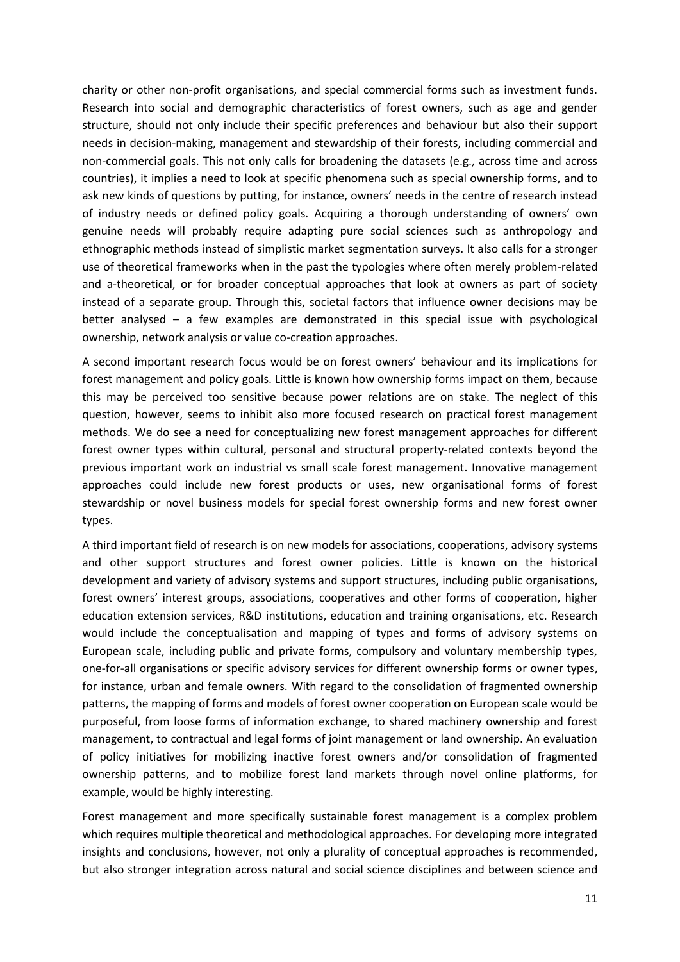charity or other non-profit organisations, and special commercial forms such as investment funds. Research into social and demographic characteristics of forest owners, such as age and gender structure, should not only include their specific preferences and behaviour but also their support needs in decision-making, management and stewardship of their forests, including commercial and non-commercial goals. This not only calls for broadening the datasets (e.g., across time and across countries), it implies a need to look at specific phenomena such as special ownership forms, and to ask new kinds of questions by putting, for instance, owners' needs in the centre of research instead of industry needs or defined policy goals. Acquiring a thorough understanding of owners' own genuine needs will probably require adapting pure social sciences such as anthropology and ethnographic methods instead of simplistic market segmentation surveys. It also calls for a stronger use of theoretical frameworks when in the past the typologies where often merely problem-related and a-theoretical, or for broader conceptual approaches that look at owners as part of society instead of a separate group. Through this, societal factors that influence owner decisions may be better analysed – a few examples are demonstrated in this special issue with psychological ownership, network analysis or value co-creation approaches.

A second important research focus would be on forest owners' behaviour and its implications for forest management and policy goals. Little is known how ownership forms impact on them, because this may be perceived too sensitive because power relations are on stake. The neglect of this question, however, seems to inhibit also more focused research on practical forest management methods. We do see a need for conceptualizing new forest management approaches for different forest owner types within cultural, personal and structural property-related contexts beyond the previous important work on industrial vs small scale forest management. Innovative management approaches could include new forest products or uses, new organisational forms of forest stewardship or novel business models for special forest ownership forms and new forest owner types.

A third important field of research is on new models for associations, cooperations, advisory systems and other support structures and forest owner policies. Little is known on the historical development and variety of advisory systems and support structures, including public organisations, forest owners' interest groups, associations, cooperatives and other forms of cooperation, higher education extension services, R&D institutions, education and training organisations, etc. Research would include the conceptualisation and mapping of types and forms of advisory systems on European scale, including public and private forms, compulsory and voluntary membership types, one-for-all organisations or specific advisory services for different ownership forms or owner types, for instance, urban and female owners. With regard to the consolidation of fragmented ownership patterns, the mapping of forms and models of forest owner cooperation on European scale would be purposeful, from loose forms of information exchange, to shared machinery ownership and forest management, to contractual and legal forms of joint management or land ownership. An evaluation of policy initiatives for mobilizing inactive forest owners and/or consolidation of fragmented ownership patterns, and to mobilize forest land markets through novel online platforms, for example, would be highly interesting.

Forest management and more specifically sustainable forest management is a complex problem which requires multiple theoretical and methodological approaches. For developing more integrated insights and conclusions, however, not only a plurality of conceptual approaches is recommended, but also stronger integration across natural and social science disciplines and between science and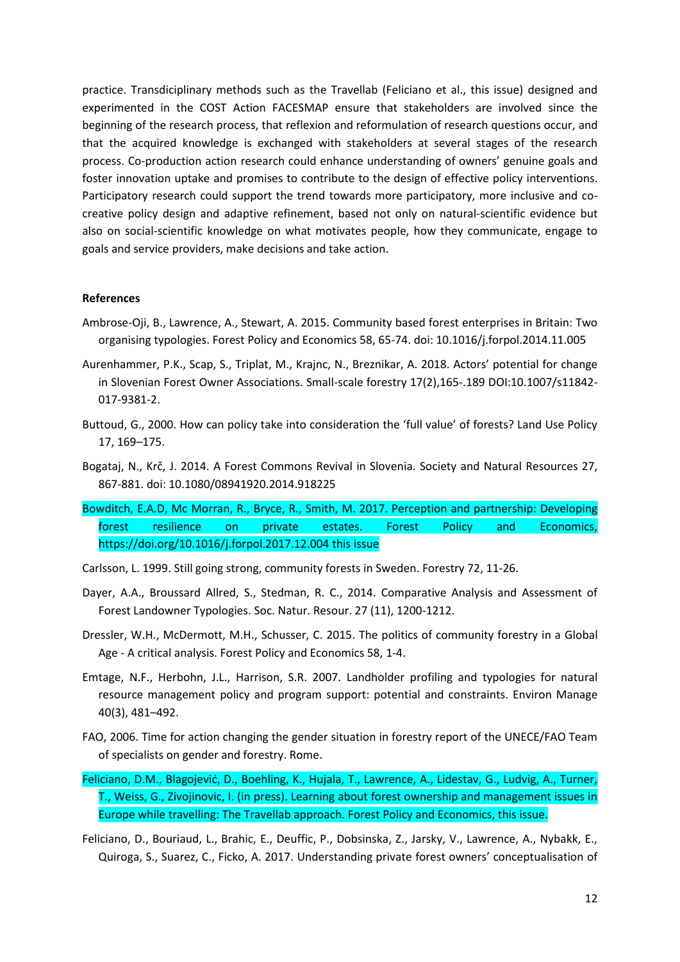practice. Transdiciplinary methods such as the Travellab (Feliciano et al., this issue) designed and experimented in the COST Action FACESMAP ensure that stakeholders are involved since the beginning of the research process, that reflexion and reformulation of research questions occur, and that the acquired knowledge is exchanged with stakeholders at several stages of the research process. Co-production action research could enhance understanding of owners' genuine goals and foster innovation uptake and promises to contribute to the design of effective policy interventions. Participatory research could support the trend towards more participatory, more inclusive and cocreative policy design and adaptive refinement, based not only on natural-scientific evidence but also on social-scientific knowledge on what motivates people, how they communicate, engage to goals and service providers, make decisions and take action.

#### **References**

- Ambrose-Oji, B., Lawrence, A., Stewart, A. 2015. Community based forest enterprises in Britain: Two organising typologies. Forest Policy and Economics 58, 65-74. doi: 10.1016/j.forpol.2014.11.005
- Aurenhammer, P.K., Scap, S., Triplat, M., Krajnc, N., Breznikar, A. 2018. Actors' potential for change in Slovenian Forest Owner Associations. Small-scale forestry 17(2),165-.189 DOI:10.1007/s11842- 017-9381-2.
- Buttoud, G., 2000. How can policy take into consideration the 'full value' of forests? Land Use Policy 17, 169–175.
- Bogataj, N., Krč, J. 2014. A Forest Commons Revival in Slovenia. Society and Natural Resources 27, 867-881. doi: 10.1080/08941920.2014.918225
- Bowditch, E.A.D, Mc Morran, R., Bryce, R., Smith, M. 2017. Perception and partnership: Developing forest resilience on private estates. Forest Policy and Economics, <https://doi.org/10.1016/j.forpol.2017.12.004> this issue
- Carlsson, L. 1999. Still going strong, community forests in Sweden. Forestry 72, 11-26.
- Dayer, A.A., Broussard Allred, S., Stedman, R. C., 2014. Comparative Analysis and Assessment of Forest Landowner Typologies. Soc. Natur. Resour. 27 (11), 1200-1212.
- Dressler, W.H., McDermott, M.H., Schusser, C. 2015. The politics of community forestry in a Global Age - A critical analysis. Forest Policy and Economics 58, 1-4.
- Emtage, N.F., Herbohn, J.L., Harrison, S.R. 2007. Landholder profiling and typologies for natural resource management policy and program support: potential and constraints. Environ Manage 40(3), 481–492.
- FAO, 2006. Time for action changing the gender situation in forestry report of the UNECE/FAO Team of specialists on gender and forestry. Rome.
- Feliciano, D.M., Blagojević, D., Boehling, K., Hujala, T., Lawrence, A., Lidestav, G., Ludvig, A., Turner, T., Weiss, G., Zivojinovic, I. (in press). Learning about forest ownership and management issues in Europe while travelling: The Travellab approach. Forest Policy and Economics, this issue.
- Feliciano, D., Bouriaud, L., Brahic, E., Deuffic, P., Dobsinska, Z., Jarsky, V., Lawrence, A., Nybakk, E., Quiroga, S., Suarez, C., Ficko, A. 2017. Understanding private forest owners' conceptualisation of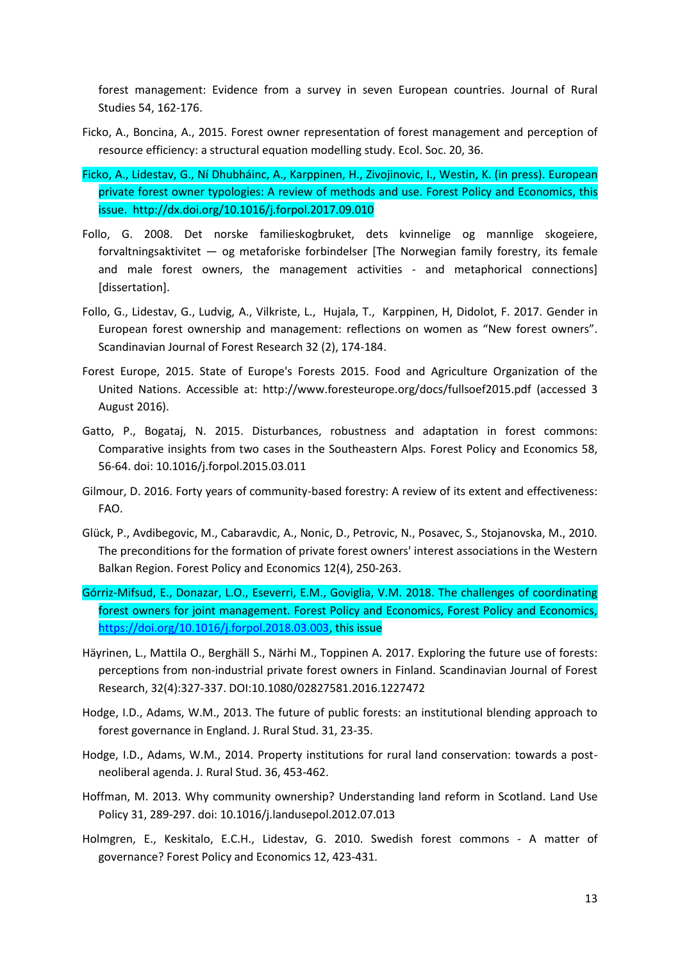forest management: Evidence from a survey in seven European countries. Journal of Rural Studies 54, 162-176.

- Ficko, A., Boncina, A., 2015. Forest owner representation of forest management and perception of resource efficiency: a structural equation modelling study. Ecol. Soc. 20, 36.
- Ficko, A., Lidestav, G., Ní Dhubháinc, A., Karppinen, H., Zivojinovic, I., Westin, K. (in press). European private forest owner typologies: A review of methods and use. Forest Policy and Economics, this issue. http://dx.doi.org/10.1016/j.forpol.2017.09.010
- Follo, G. 2008. Det norske familieskogbruket, dets kvinnelige og mannlige skogeiere, forvaltningsaktivitet — og metaforiske forbindelser [The Norwegian family forestry, its female and male forest owners, the management activities - and metaphorical connections] [dissertation].
- Follo, G., Lidestav, G., Ludvig, A., Vilkriste, L., Hujala, T., Karppinen, H, Didolot, F. 2017. Gender in European forest ownership and management: reflections on women as "New forest owners". Scandinavian Journal of Forest Research 32 (2), 174-184.
- Forest Europe, 2015. State of Europe's Forests 2015. Food and Agriculture Organization of the United Nations. Accessible at: http://www.foresteurope.org/docs/fullsoef2015.pdf (accessed 3 August 2016).
- Gatto, P., Bogataj, N. 2015. Disturbances, robustness and adaptation in forest commons: Comparative insights from two cases in the Southeastern Alps. Forest Policy and Economics 58, 56-64. doi: 10.1016/j.forpol.2015.03.011
- Gilmour, D. 2016. Forty years of community-based forestry: A review of its extent and effectiveness: FAO.
- Glück, P., Avdibegovic, M., Cabaravdic, A., Nonic, D., Petrovic, N., Posavec, S., Stojanovska, M., 2010. The preconditions for the formation of private forest owners' interest associations in the Western Balkan Region. Forest Policy and Economics 12(4), 250-263.
- Górriz-Mifsud, E., Donazar, L.O., Eseverri, E.M., Goviglia, V.M. 2018. The challenges of coordinating forest owners for joint management. Forest Policy and Economics, Forest Policy and Economics, [https://doi.org/10.1016/j.forpol.2018.03.003,](https://doi.org/10.1016/j.forpol.2018.03.003) this issue
- Häyrinen, L., Mattila O., Berghäll S., Närhi M., Toppinen A. 2017. Exploring the future use of forests: perceptions from non-industrial private forest owners in Finland. Scandinavian Journal of Forest Research, 32(4):327-337. DOI:10.1080/02827581.2016.1227472
- Hodge, I.D., Adams, W.M., 2013. The future of public forests: an institutional blending approach to forest governance in England. J. Rural Stud. 31, 23-35.
- Hodge, I.D., Adams, W.M., 2014. Property institutions for rural land conservation: towards a postneoliberal agenda. J. Rural Stud. 36, 453-462.
- Hoffman, M. 2013. Why community ownership? Understanding land reform in Scotland. Land Use Policy 31, 289-297. doi: 10.1016/j.landusepol.2012.07.013
- Holmgren, E., Keskitalo, E.C.H., Lidestav, G. 2010. Swedish forest commons A matter of governance? Forest Policy and Economics 12, 423-431.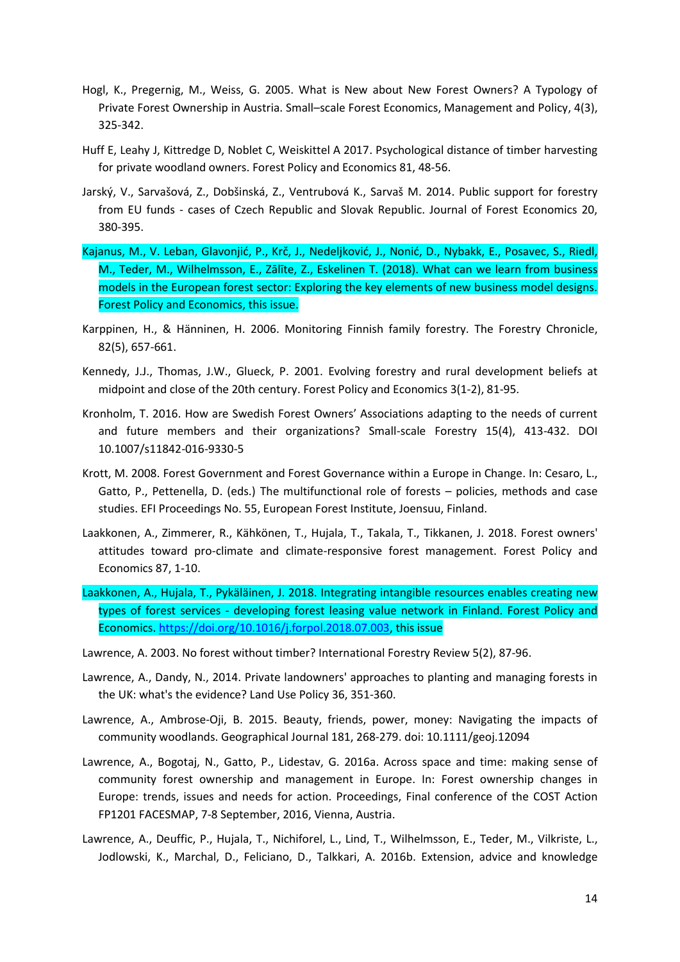- Hogl, K., Pregernig, M., Weiss, G. 2005. What is New about New Forest Owners? A Typology of Private Forest Ownership in Austria. Small–scale Forest Economics, Management and Policy, 4(3), 325-342.
- Huff E, Leahy J, Kittredge D, Noblet C, Weiskittel A 2017. Psychological distance of timber harvesting for private woodland owners. Forest Policy and Economics 81, 48-56.
- Jarský, V., Sarvašová, Z., Dobšinská, Z., Ventrubová K., Sarvaš M. 2014. Public support for forestry from EU funds - cases of Czech Republic and Slovak Republic. Journal of Forest Economics 20, 380-395.
- Kajanus, M., V. Leban, Glavonjić, P., Krč, J., Nedeljković, J., Nonić, D., Nybakk, E., Posavec, S., Riedl, M., Teder, M., Wilhelmsson, E., Zālīte, Z., Eskelinen T. (2018). What can we learn from business models in the European forest sector: Exploring the key elements of new business model designs. Forest Policy and Economics, this issue.
- Karppinen, H., & Hänninen, H. 2006. Monitoring Finnish family forestry. The Forestry Chronicle, 82(5), 657-661.
- Kennedy, J.J., Thomas, J.W., Glueck, P. 2001. Evolving forestry and rural development beliefs at midpoint and close of the 20th century. Forest Policy and Economics 3(1-2), 81-95.
- Kronholm, T. 2016. How are Swedish Forest Owners' Associations adapting to the needs of current and future members and their organizations? Small-scale Forestry 15(4), 413-432. DOI 10.1007/s11842-016-9330-5
- Krott, M. 2008. Forest Government and Forest Governance within a Europe in Change. In: Cesaro, L., Gatto, P., Pettenella, D. (eds.) The multifunctional role of forests – policies, methods and case studies. EFI Proceedings No. 55, European Forest Institute, Joensuu, Finland.
- Laakkonen, A., Zimmerer, R., Kähkönen, T., Hujala, T., Takala, T., Tikkanen, J. 2018. Forest owners' attitudes toward pro-climate and climate-responsive forest management. Forest Policy and Economics 87, 1-10.
- Laakkonen, A., Hujala, T., Pykäläinen, J. 2018. Integrating intangible resources enables creating new types of forest services - developing forest leasing value network in Finland. Forest Policy and Economics. [https://doi.org/10.1016/j.forpol.2018.07.003,](https://doi.org/10.1016/j.forpol.2018.07.003) this issue
- Lawrence, A. 2003. No forest without timber? International Forestry Review 5(2), 87-96.
- Lawrence, A., Dandy, N., 2014. Private landowners' approaches to planting and managing forests in the UK: what's the evidence? Land Use Policy 36, 351-360.
- Lawrence, A., Ambrose-Oji, B. 2015. Beauty, friends, power, money: Navigating the impacts of community woodlands. Geographical Journal 181, 268-279. doi: 10.1111/geoj.12094
- Lawrence, A., Bogotaj, N., Gatto, P., Lidestav, G. 2016a. Across space and time: making sense of community forest ownership and management in Europe. In: Forest ownership changes in Europe: trends, issues and needs for action. Proceedings, Final conference of the COST Action FP1201 FACESMAP, 7-8 September, 2016, Vienna, Austria.
- Lawrence, A., Deuffic, P., Hujala, T., Nichiforel, L., Lind, T., Wilhelmsson, E., Teder, M., Vilkriste, L., Jodlowski, K., Marchal, D., Feliciano, D., Talkkari, A. 2016b. Extension, advice and knowledge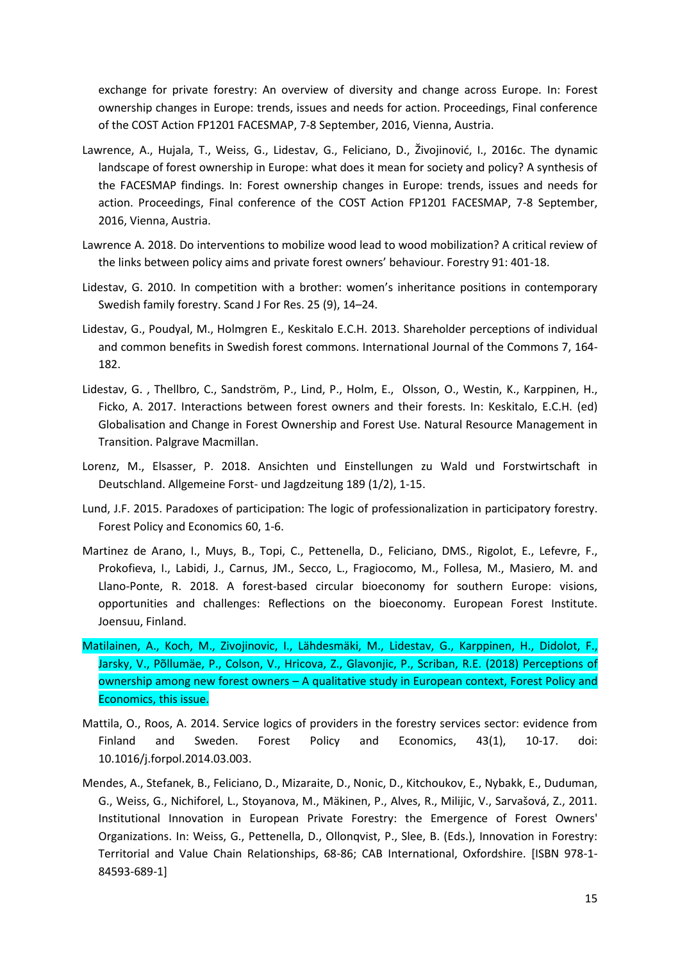exchange for private forestry: An overview of diversity and change across Europe. In: Forest ownership changes in Europe: trends, issues and needs for action. Proceedings, Final conference of the COST Action FP1201 FACESMAP, 7-8 September, 2016, Vienna, Austria.

- Lawrence, A., Hujala, T., Weiss, G., Lidestav, G., Feliciano, D., Živojinović, I., 2016c. The dynamic landscape of forest ownership in Europe: what does it mean for society and policy? A synthesis of the FACESMAP findings. In: Forest ownership changes in Europe: trends, issues and needs for action. Proceedings, Final conference of the COST Action FP1201 FACESMAP, 7-8 September, 2016, Vienna, Austria.
- Lawrence A. 2018. Do interventions to mobilize wood lead to wood mobilization? A critical review of the links between policy aims and private forest owners' behaviour. Forestry 91: 401-18.
- Lidestav, G. 2010. In competition with a brother: women's inheritance positions in contemporary Swedish family forestry. Scand J For Res. 25 (9), 14–24.
- Lidestav, G., Poudyal, M., Holmgren E., Keskitalo E.C.H. 2013. Shareholder perceptions of individual and common benefits in Swedish forest commons. International Journal of the Commons 7, 164- 182.
- Lidestav, G. , Thellbro, C., Sandström, P., Lind, P., Holm, E., Olsson, O., Westin, K., Karppinen, H., Ficko, A. 2017. Interactions between forest owners and their forests. In: Keskitalo, E.C.H. (ed) Globalisation and Change in Forest Ownership and Forest Use. Natural Resource Management in Transition. Palgrave Macmillan.
- Lorenz, M., Elsasser, P. 2018. Ansichten und Einstellungen zu Wald und Forstwirtschaft in Deutschland. Allgemeine Forst- und Jagdzeitung 189 (1/2), 1-15.
- Lund, J.F. 2015. Paradoxes of participation: The logic of professionalization in participatory forestry. Forest Policy and Economics 60, 1-6.
- Martinez de Arano, I., Muys, B., Topi, C., Pettenella, D., Feliciano, DMS., Rigolot, E., Lefevre, F., Prokofieva, I., Labidi, J., Carnus, JM., Secco, L., Fragiocomo, M., Follesa, M., Masiero, M. and Llano-Ponte, R. 2018. A forest-based circular bioeconomy for southern Europe: visions, opportunities and challenges: Reflections on the bioeconomy. European Forest Institute. Joensuu, Finland.
- Matilainen, A., [Koch, M.,](https://www.sciencedirect.com/science/article/pii/S1389934116304208#!) [Zivojinovic, I.,](https://www.sciencedirect.com/science/article/pii/S1389934116304208#!) [Lähdesmäki, M., Lidestav, G., Karppinen, H., Didolot, F.,](https://www.sciencedirect.com/science/article/pii/S1389934116304208#!) [Jarsky, V., Põllumäe, P., Colson, V., Hricova, Z., Glavonjic, P., Scriban, R.E.](https://www.sciencedirect.com/science/article/pii/S1389934116304208#!) (2018) Perceptions of ownership among new forest owners – A qualitative study in European context, Forest Policy and Economics, this issue.
- Mattila, O., Roos, A. 2014. Service logics of providers in the forestry services sector: evidence from Finland and Sweden. Forest Policy and Economics, 43(1), 10-17. doi: 10.1016/j.forpol.2014.03.003.
- Mendes, A., Stefanek, B., Feliciano, D., Mizaraite, D., Nonic, D., Kitchoukov, E., Nybakk, E., Duduman, G., Weiss, G., Nichiforel, L., Stoyanova, M., Mäkinen, P., Alves, R., Milijic, V., Sarvašová, Z., 2011. Institutional Innovation in European Private Forestry: the Emergence of Forest Owners' Organizations. In: Weiss, G., Pettenella, D., Ollonqvist, P., Slee, B. (Eds.), Innovation in Forestry: Territorial and Value Chain Relationships, 68-86; CAB International, Oxfordshire. [ISBN 978-1- 84593-689-1]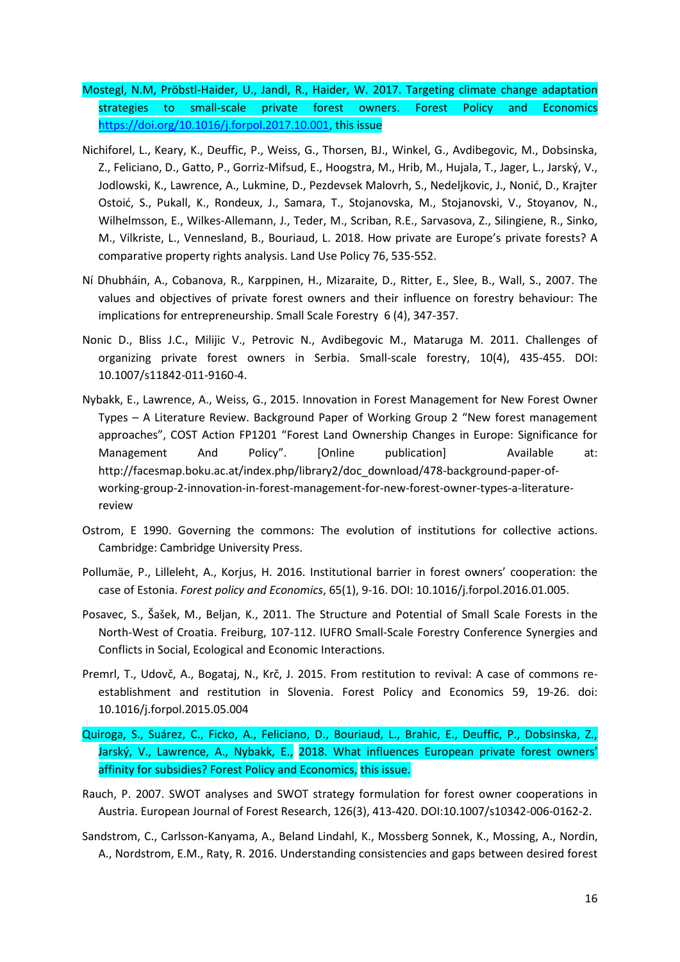- Mostegl, N.M, Pröbstl-Haider, U., Jandl, R., Haider, W. 2017. Targeting climate change adaptation strategies to small-scale private forest owners. Forest Policy and Economics [https://doi.org/10.1016/j.forpol.2017.10.001,](https://doi.org/10.1016/j.forpol.2017.10.001) this issue
- Nichiforel, L., Keary, K., Deuffic, P., Weiss, G., Thorsen, BJ., Winkel, G., Avdibegovic, M., Dobsinska, Z., Feliciano, D., Gatto, P., Gorriz-Mifsud, E., Hoogstra, M., Hrib, M., Hujala, T., Jager, L., Jarský, V., Jodlowski, K., Lawrence, A., Lukmine, D., Pezdevsek Malovrh, S., Nedeljkovic, J., Nonić, D., Krajter Ostoić, S., Pukall, K., Rondeux, J., Samara, T., Stojanovska, M., Stojanovski, V., Stoyanov, N., Wilhelmsson, E., Wilkes-Allemann, J., Teder, M., Scriban, R.E., Sarvasova, Z., Silingiene, R., Sinko, M., Vilkriste, L., Vennesland, B., Bouriaud, L. 2018. How private are Europe's private forests? A comparative property rights analysis. Land Use Policy 76, 535-552.
- Ní Dhubháin, A., Cobanova, R., Karppinen, H., Mizaraite, D., Ritter, E., Slee, B., Wall, S., 2007. The values and objectives of private forest owners and their influence on forestry behaviour: The implications for entrepreneurship. Small Scale Forestry 6 (4), 347-357.
- Nonic D., Bliss J.C., Milijic V., Petrovic N., Avdibegovic M., Mataruga M. 2011. Challenges of organizing private forest owners in Serbia. Small-scale forestry, 10(4), 435-455. DOI: 10.1007/s11842-011-9160-4.
- Nybakk, E., Lawrence, A., Weiss, G., 2015. Innovation in Forest Management for New Forest Owner Types – A Literature Review. Background Paper of Working Group 2 "New forest management approaches", COST Action FP1201 "Forest Land Ownership Changes in Europe: Significance for Management And Policy". [Online publication] Available at: http://facesmap.boku.ac.at/index.php/library2/doc\_download/478-background-paper-ofworking-group-2-innovation-in-forest-management-for-new-forest-owner-types-a-literaturereview
- Ostrom, E 1990. Governing the commons: The evolution of institutions for collective actions. Cambridge: Cambridge University Press.
- Pollumäe, P., Lilleleht, A., Korjus, H. 2016. Institutional barrier in forest owners' cooperation: the case of Estonia. *Forest policy and Economics*, 65(1), 9-16. DOI: 10.1016/j.forpol.2016.01.005.
- Posavec, S., Šašek, M., Beljan, K., 2011. The Structure and Potential of Small Scale Forests in the North-West of Croatia. Freiburg, 107-112. IUFRO Small-Scale Forestry Conference Synergies and Conflicts in Social, Ecological and Economic Interactions.
- Premrl, T., Udovč, A., Bogataj, N., Krč, J. 2015. From restitution to revival: A case of commons reestablishment and restitution in Slovenia. Forest Policy and Economics 59, 19-26. doi: 10.1016/j.forpol.2015.05.004
- Quiroga, S., Suárez, C., Ficko, A., Feliciano, D., Bouriaud, L., Brahic, E., Deuffic, P., Dobsinska, Z., Jarský, V., Lawrence, A., Nybakk, E., 2018. What influences European private forest owners' affinity for subsidies? Forest Policy and Economics, this issue.
- Rauch, P. 2007. SWOT analyses and SWOT strategy formulation for forest owner cooperations in Austria. European Journal of Forest Research, 126(3), 413-420. DOI:10.1007/s10342-006-0162-2.
- Sandstrom, C., Carlsson-Kanyama, A., Beland Lindahl, K., Mossberg Sonnek, K., Mossing, A., Nordin, A., Nordstrom, E.M., Raty, R. 2016. Understanding consistencies and gaps between desired forest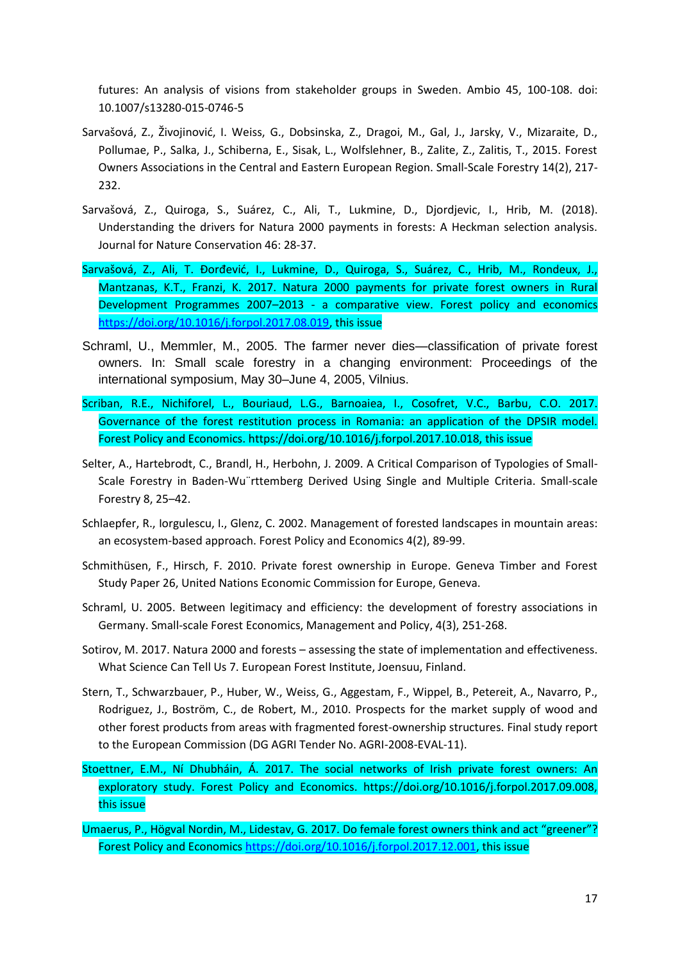futures: An analysis of visions from stakeholder groups in Sweden. Ambio 45, 100-108. doi: 10.1007/s13280-015-0746-5

- Sarvašová, Z., Živojinović, I. Weiss, G., Dobsinska, Z., Dragoi, M., Gal, J., Jarsky, V., Mizaraite, D., Pollumae, P., Salka, J., Schiberna, E., Sisak, L., Wolfslehner, B., Zalite, Z., Zalitis, T., 2015. Forest Owners Associations in the Central and Eastern European Region. Small-Scale Forestry 14(2), 217- 232.
- Sarvašová, Z., Quiroga, S., Suárez, C., Ali, T., Lukmine, D., Djordjevic, I., Hrib, M. (2018). Understanding the drivers for Natura 2000 payments in forests: A Heckman selection analysis. Journal for Nature Conservation 46: 28-37.
- Sarvašová, Z., Ali, T. Đorđević, I., Lukmine, D., Quiroga, S., Suárez, C., Hrib, M., Rondeux, J., Mantzanas, K.T., Franzi, K. 2017. Natura 2000 payments for private forest owners in Rural Development Programmes 2007–2013 - a comparative view. Forest policy and economics [https://doi.org/10.1016/j.forpol.2017.08.019,](https://doi.org/10.1016/j.forpol.2017.08.019) this issue
- Schraml, U., Memmler, M., 2005. The farmer never dies—classification of private forest owners. In: Small scale forestry in a changing environment: Proceedings of the international symposium, May 30–June 4, 2005, Vilnius.
- Scriban, R.E., Nichiforel, L., Bouriaud, L.G., Barnoaiea, I., Cosofret, V.C., Barbu, C.O. 2017. Governance of the forest restitution process in Romania: an application of the DPSIR model. Forest Policy and Economics. https://doi.org/10.1016/j.forpol.2017.10.018, this issue
- Selter, A., Hartebrodt, C., Brandl, H., Herbohn, J. 2009. A Critical Comparison of Typologies of Small-Scale Forestry in Baden-Wu¨rttemberg Derived Using Single and Multiple Criteria. Small-scale Forestry 8, 25–42.
- Schlaepfer, R., Iorgulescu, I., Glenz, C. 2002. Management of forested landscapes in mountain areas: an ecosystem-based approach. Forest Policy and Economics 4(2), 89-99.
- Schmithüsen, F., Hirsch, F. 2010. Private forest ownership in Europe. Geneva Timber and Forest Study Paper 26, United Nations Economic Commission for Europe, Geneva.
- Schraml, U. 2005. Between legitimacy and efficiency: the development of forestry associations in Germany. Small-scale Forest Economics, Management and Policy, 4(3), 251-268.
- Sotirov, M. 2017. Natura 2000 and forests assessing the state of implementation and effectiveness. What Science Can Tell Us 7. European Forest Institute, Joensuu, Finland.
- Stern, T., Schwarzbauer, P., Huber, W., Weiss, G., Aggestam, F., Wippel, B., Petereit, A., Navarro, P., Rodriguez, J., Boström, C., de Robert, M., 2010. Prospects for the market supply of wood and other forest products from areas with fragmented forest-ownership structures. Final study report to the European Commission (DG AGRI Tender No. AGRI-2008-EVAL-11).
- Stoettner, E.M., Ní Dhubháin, Á. 2017. The social networks of Irish private forest owners: An exploratory study. Forest Policy and Economics. https://doi.org/10.1016/j.forpol.2017.09.008, this issue
- Umaerus, P., Högval Nordin, M., Lidestav, G. 2017. Do female forest owners think and act "greener"? Forest Policy and Economics [https://doi.org/10.1016/j.forpol.2017.12.001,](https://doi.org/10.1016/j.forpol.2017.12.001) this issue